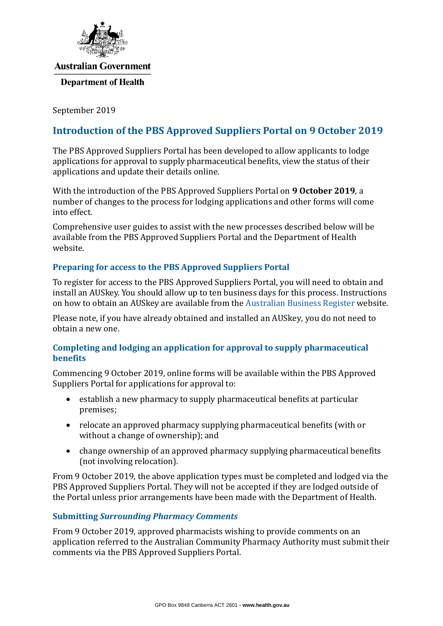

#### **Australian Government**

#### **Department of Health**

September 2019

# **Introduction of the PBS Approved Suppliers Portal on 9 October 2019**

The PBS Approved Suppliers Portal has been developed to allow applicants to lodge applications for approval to supply pharmaceutical benefits, view the status of their applications and update their details online.

With the introduction of the PBS Approved Suppliers Portal on **9 October 2019**, a number of changes to the process for lodging applications and other forms will come into effect.

Comprehensive user guides to assist with the new processes described below will be available from the PBS Approved Suppliers Portal and the Department of Health website.

## **Preparing for access to the PBS Approved Suppliers Portal**

To register for access to the PBS Approved Suppliers Portal, you will need to obtain and install an AUSkey. You should allow up to ten business days for this process. Instructions on how to obtain an AUSkey are available from the [Australian Business Register](https://abr.gov.au/AUSkey/) website.

Please note, if you have already obtained and installed an AUSkey, you do not need to obtain a new one.

## **Completing and lodging an application for approval to supply pharmaceutical benefits**

Commencing 9 October 2019, online forms will be available within the PBS Approved Suppliers Portal for applications for approval to:

- establish a new pharmacy to supply pharmaceutical benefits at particular premises;
- relocate an approved pharmacy supplying pharmaceutical benefits (with or without a change of ownership); and
- change ownership of an approved pharmacy supplying pharmaceutical benefits (not involving relocation).

From 9 October 2019, the above application types must be completed and lodged via the PBS Approved Suppliers Portal. They will not be accepted if they are lodged outside of the Portal unless prior arrangements have been made with the Department of Health.

### **Submitting** *Surrounding Pharmacy Comments*

From 9 October 2019, approved pharmacists wishing to provide comments on an application referred to the Australian Community Pharmacy Authority must submit their comments via the PBS Approved Suppliers Portal.